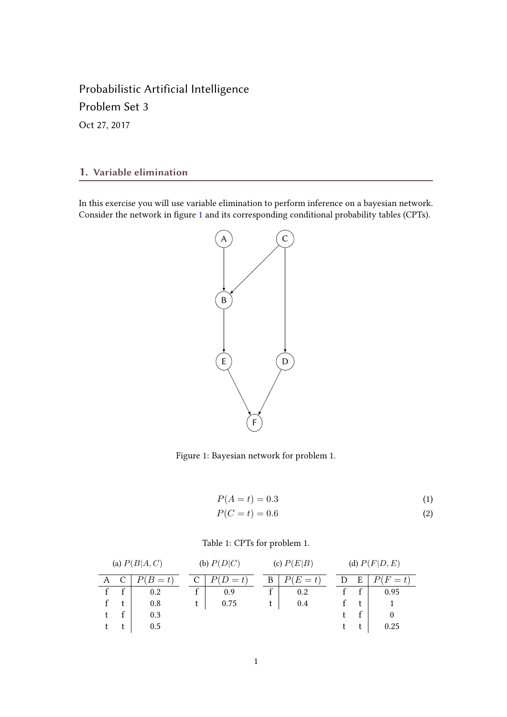Probabilistic Artificial Intelligence Problem Set 3 Oct 27, 2017

## 1. Variable elimination

In this exercise you will use variable elimination to perform inference on a bayesian network. Consider the network in figure 1 and its corresponding conditional probability tables (CPTs).



Figure 1: Bayesian network for problem 1.

$$
P(A = t) = 0.3
$$
  
\n
$$
P(C = t) = 0.6
$$
\n(1)  
\n(2)

## Table 1: CPTs for problem 1.

| (a) $P(B A,C)$ |  |       | (b) $P(D C)$ |         | (c) $P(E B)$ |         | (d) $P(F D, E)$ |   |         |
|----------------|--|-------|--------------|---------|--------------|---------|-----------------|---|---------|
|                |  | $B=t$ |              | $(D=t)$ | В            | $(E=t)$ |                 | Ε | $(F=t)$ |
|                |  | 0.2   |              | 0.9     |              | 0.2     |                 |   | 0.95    |
|                |  | 0.8   |              | 0.75    |              | 0.4     |                 |   |         |
|                |  | 0.3   |              |         |              |         |                 |   |         |
|                |  | 0.5   |              |         |              |         |                 |   | 0.25    |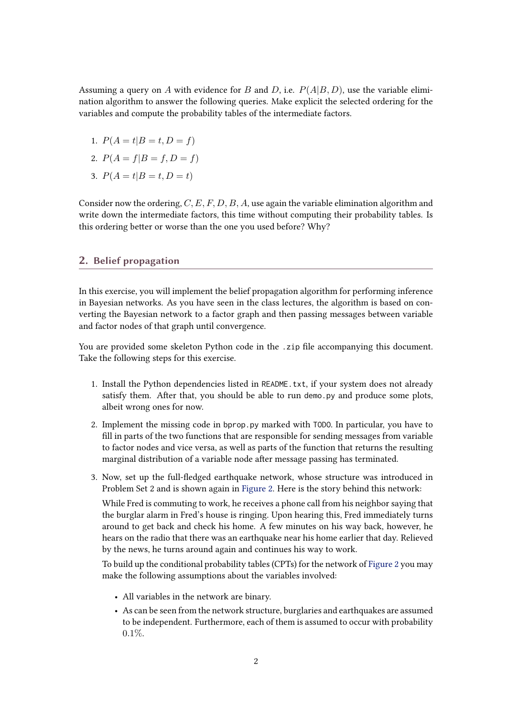Assuming a query on A with evidence for B and D, i.e.  $P(A|B, D)$ , use the variable elimination algorithm to answer the following queries. Make explicit the selected ordering for the variables and compute the probability tables of the intermediate factors.

- 1.  $P(A = t | B = t, D = f)$
- 2.  $P(A = f|B = f, D = f)$
- 3.  $P(A = t | B = t, D = t)$

Consider now the ordering,  $C, E, F, D, B, A$ , use again the variable elimination algorithm and write down the intermediate factors, this time without computing their probability tables. Is this ordering better or worse than the one you used before? Why?

## 2. Belief propagation

In this exercise, you will implement the belief propagation algorithm for performing inference in Bayesian networks. As you have seen in the class lectures, the algorithm is based on converting the Bayesian network to a factor graph and then passing messages between variable and factor nodes of that graph until convergence.

You are provided some skeleton Python code in the .zip file accompanying this document. Take the following steps for this exercise.

- 1. Install the Python dependencies listed in README.txt, if your system does not already satisfy them. After that, you should be able to run demo.py and produce some plots, albeit wrong ones for now.
- 2. Implement the missing code in bprop.py marked with TODO. In particular, you have to fill in parts of the two functions that are responsible for sending messages from variable to factor nodes and vice versa, as well as parts of the function that returns the resulting marginal distribution of a variable node after message passing has terminated.
- 3. Now, set up the full-edged earthquake network, whose structure was introduced in Problem Set 2 and is shown again in [Figure 2.](#page-2-0) Here is the story behind this network:

While Fred is commuting to work, he receives a phone call from his neighbor saying that the burglar alarm in Fred's house is ringing. Upon hearing this, Fred immediately turns around to get back and check his home. A few minutes on his way back, however, he hears on the radio that there was an earthquake near his home earlier that day. Relieved by the news, he turns around again and continues his way to work.

To build up the conditional probability tables (CPTs) for the network of [Figure 2](#page-2-0) you may make the following assumptions about the variables involved:

- All variables in the network are binary.
- As can be seen from the network structure, burglaries and earthquakes are assumed to be independent. Furthermore, each of them is assumed to occur with probability 0.1%.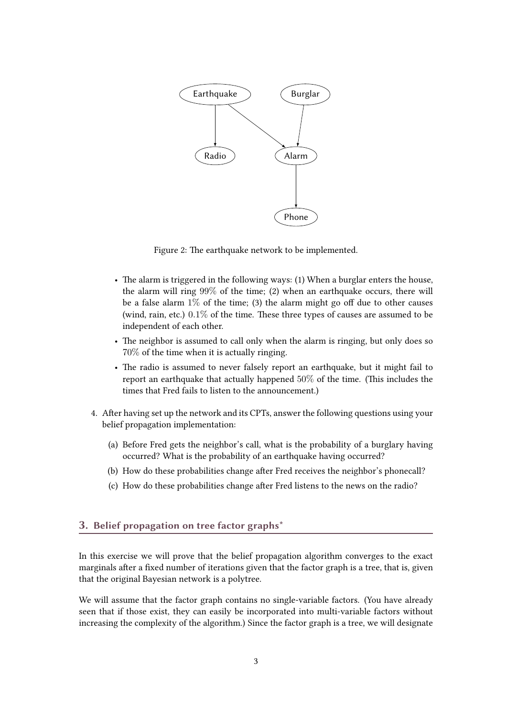<span id="page-2-0"></span>

Figure 2: The earthquake network to be implemented.

- The alarm is triggered in the following ways: (1) When a burglar enters the house, the alarm will ring 99% of the time; (2) when an earthquake occurs, there will be a false alarm  $1\%$  of the time; (3) the alarm might go off due to other causes (wind, rain, etc.)  $0.1\%$  of the time. These three types of causes are assumed to be independent of each other.
- The neighbor is assumed to call only when the alarm is ringing, but only does so 70% of the time when it is actually ringing.
- The radio is assumed to never falsely report an earthquake, but it might fail to report an earthquake that actually happened  $50\%$  of the time. (This includes the times that Fred fails to listen to the announcement.)
- 4. After having set up the network and its CPTs, answer the following questions using your belief propagation implementation:
	- (a) Before Fred gets the neighbor's call, what is the probability of a burglary having occurred? What is the probability of an earthquake having occurred?
	- (b) How do these probabilities change after Fred receives the neighbor's phonecall?
	- (c) How do these probabilities change after Fred listens to the news on the radio?

## 3. Belief propagation on tree factor graphs\*

In this exercise we will prove that the belief propagation algorithm converges to the exact marginals after a fixed number of iterations given that the factor graph is a tree, that is, given that the original Bayesian network is a polytree.

We will assume that the factor graph contains no single-variable factors. (You have already seen that if those exist, they can easily be incorporated into multi-variable factors without increasing the complexity of the algorithm.) Since the factor graph is a tree, we will designate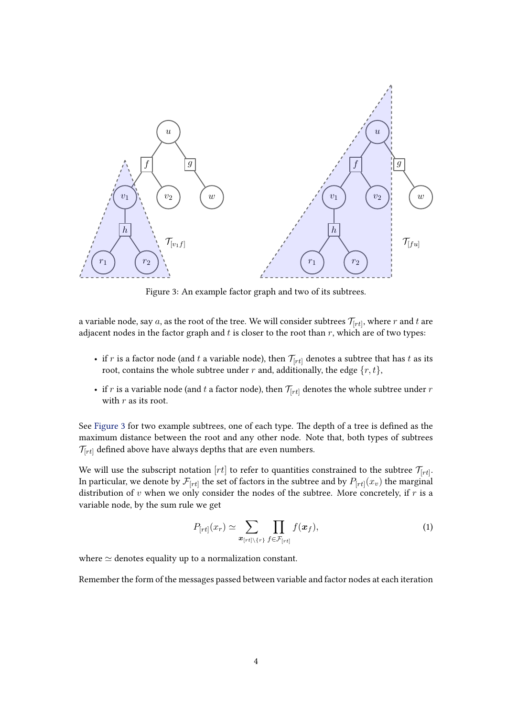<span id="page-3-0"></span>

Figure 3: An example factor graph and two of its subtrees.

a variable node, say  $a$ , as the root of the tree. We will consider subtrees  $\mathcal{T}_{[rt]}$ , where  $r$  and  $t$  are adjacent nodes in the factor graph and  $t$  is closer to the root than  $r$ , which are of two types:

- if r is a factor node (and t a variable node), then  $\mathcal{T}_{[rt]}$  denotes a subtree that has t as its root, contains the whole subtree under r and, additionally, the edge  $\{r, t\}$ ,
- if r is a variable node (and t a factor node), then  $\mathcal{T}_{[rt]}$  denotes the whole subtree under r with  $r$  as its root.

See Figure 3 for two example subtrees, one of each type. The depth of a tree is defined as the maximum distance between the root and any other node. Note that, both types of subtrees  $\mathcal{T}_{[rt]}$  defined above have always depths that are even numbers.

We will use the subscript notation  $[rt]$  to refer to quantities constrained to the subtree  $\mathcal{T}_{[rt]}.$ In particular, we denote by  $\mathcal{F}_{[rt]}$  the set of factors in the subtree and by  $P_{[rt]}(x_v)$  the marginal distribution of  $v$  when we only consider the nodes of the subtree. More concretely, if  $r$  is a variable node, by the sum rule we get

$$
P_{[rt]}(x_r) \simeq \sum_{\mathbf{x}_{[rt]\backslash\{r\}}} \prod_{f \in \mathcal{F}_{[rt]}} f(\mathbf{x}_f), \tag{1}
$$

where  $\simeq$  denotes equality up to a normalization constant.

Remember the form of the messages passed between variable and factor nodes at each iteration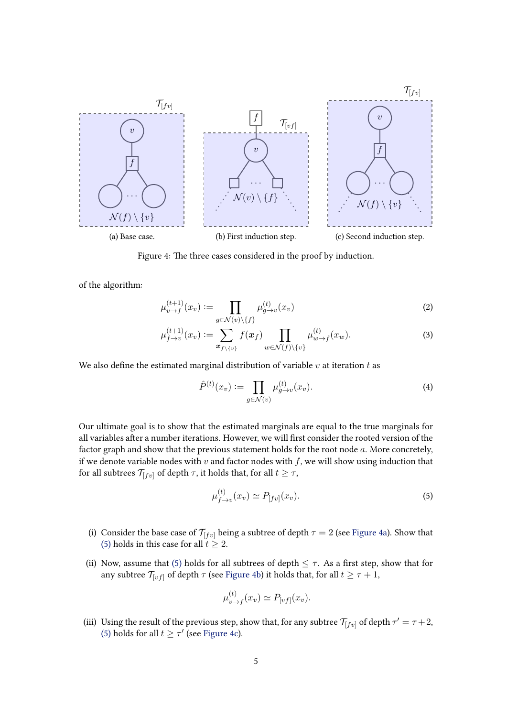

Figure 4: The three cases considered in the proof by induction.

of the algorithm:

$$
\mu_{v \to f}^{(t+1)}(x_v) := \prod_{g \in \mathcal{N}(v) \setminus \{f\}} \mu_{g \to v}^{(t)}(x_v) \tag{2}
$$

$$
\mu_{f \to v}^{(t+1)}(x_v) := \sum_{\boldsymbol{x}_{f \setminus \{v\}}} f(\boldsymbol{x}_f) \prod_{w \in \mathcal{N}(f) \setminus \{v\}} \mu_{w \to f}^{(t)}(x_w). \tag{3}
$$

We also define the estimated marginal distribution of variable  $v$  at iteration  $t$  as

$$
\hat{P}^{(t)}(x_v) := \prod_{g \in \mathcal{N}(v)} \mu_{g \to v}^{(t)}(x_v). \tag{4}
$$

Our ultimate goal is to show that the estimated marginals are equal to the true marginals for all variables after a number iterations. However, we will first consider the rooted version of the factor graph and show that the previous statement holds for the root node a. More concretely, if we denote variable nodes with  $v$  and factor nodes with  $f$ , we will show using induction that for all subtrees  $\mathcal{T}_{[fv]}$  of depth  $\tau$ , it holds that, for all  $t \geq \tau$ ,

$$
\mu_{f \to v}^{(t)}(x_v) \simeq P_{[fv]}(x_v). \tag{5}
$$

- (i) Consider the base case of  $\mathcal{T}_{[fv]}$  being a subtree of depth  $\tau = 2$  (see Figure 4a). Show that [\(5\)](#page-3-0) holds in this case for all  $t \geq 2$ .
- (ii) Now, assume that [\(5\)](#page-3-0) holds for all subtrees of depth  $\leq \tau$ . As a first step, show that for any subtree  $\mathcal{T}_{[vf]}$  of depth  $\tau$  (see Figure 4b) it holds that, for all  $t \geq \tau+1,$

$$
\mu_{v \to f}^{(t)}(x_v) \simeq P_{[vf]}(x_v).
$$

(iii) Using the result of the previous step, show that, for any subtree  $\mathcal{T}_{[fv]}$  of depth  $\tau' = \tau + 2$ , [\(5\)](#page-3-0) holds for all  $t \geq \tau'$  (see Figure 4c).